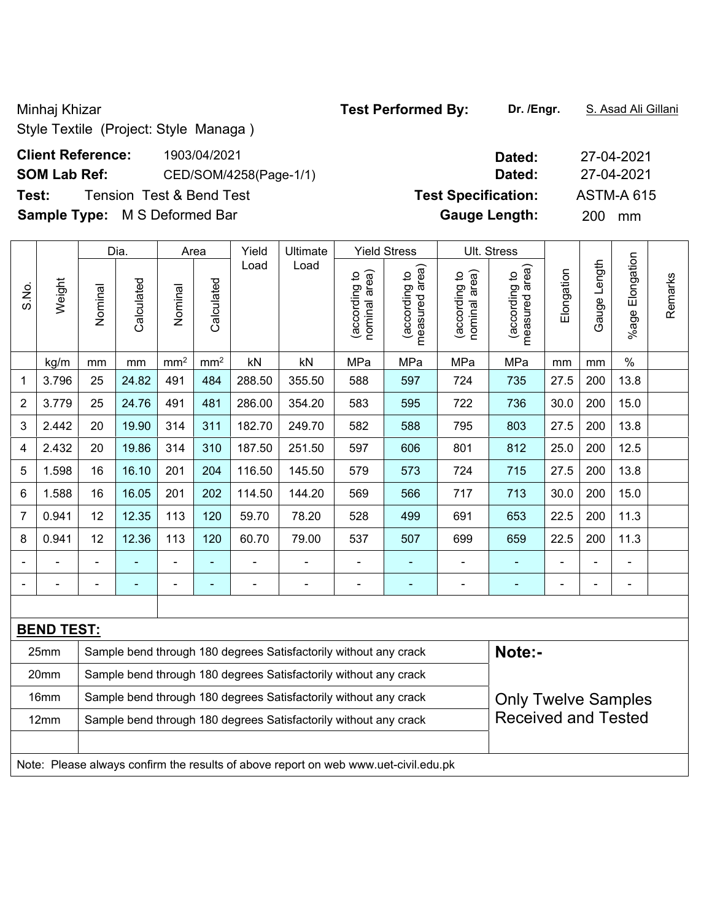Style Textile (Project: Style Managa )

# **Client Reference:** 1903/04/2021 **Dated:** 27-04-2021 **SOM Lab Ref:** CED/SOM/4258(Page-1/1) **Dated:** 27-04-2021

**Sample Type:** M S Deformed Bar **Gauge Length:** 200 mm

|                |                   |                                                                                                | Dia.       | Area            |                          | Yield  | Ultimate                                                                            |                               | <b>Yield Stress</b>             |                                | Ult. Stress                     |            |              |                          |         |
|----------------|-------------------|------------------------------------------------------------------------------------------------|------------|-----------------|--------------------------|--------|-------------------------------------------------------------------------------------|-------------------------------|---------------------------------|--------------------------------|---------------------------------|------------|--------------|--------------------------|---------|
| S.No.          | Weight            | Nominal                                                                                        | Calculated | Nominal         | Calculated               | Load   | Load                                                                                | nominal area)<br>according to | (according to<br>measured area) | (according to<br>nominal area) | (according to<br>measured area) | Elongation | Gauge Length | Elongation<br>%age       | Remarks |
|                | kg/m              | mm                                                                                             | mm         | mm <sup>2</sup> | mm <sup>2</sup>          | kN     | kN                                                                                  | MPa                           | MPa                             | MPa                            | MPa                             | mm         | mm           | $\%$                     |         |
| 1              | 3.796             | 25                                                                                             | 24.82      | 491             | 484                      | 288.50 | 355.50                                                                              | 588                           | 597                             | 724                            | 735                             | 27.5       | 200          | 13.8                     |         |
| $\overline{2}$ | 3.779             | 25                                                                                             | 24.76      | 491             | 481                      | 286.00 | 354.20                                                                              | 583                           | 595                             | 722                            | 736                             | 30.0       | 200          | 15.0                     |         |
| 3              | 2.442             | 20                                                                                             | 19.90      | 314             | 311                      | 182.70 | 249.70                                                                              | 582                           | 588                             | 795                            | 803                             | 27.5       | 200          | 13.8                     |         |
| 4              | 2.432             | 20                                                                                             | 19.86      | 314             | 310                      | 187.50 | 251.50                                                                              | 597                           | 606                             | 801                            | 812                             | 25.0       | 200          | 12.5                     |         |
| 5              | 1.598             | 16                                                                                             | 16.10      | 201             | 204                      | 116.50 | 145.50                                                                              | 579                           | 573                             | 724                            | 715                             | 27.5       | 200          | 13.8                     |         |
| 6              | 1.588             | 16                                                                                             | 16.05      | 201             | 202                      | 114.50 | 144.20                                                                              | 569                           | 566                             | 717                            | 713                             | 30.0       | 200          | 15.0                     |         |
| $\overline{7}$ | 0.941             | 12                                                                                             | 12.35      | 113             | 120                      | 59.70  | 78.20                                                                               | 528                           | 499                             | 691                            | 653                             | 22.5       | 200          | 11.3                     |         |
| 8              | 0.941             | 12                                                                                             | 12.36      | 113             | 120                      | 60.70  | 79.00                                                                               | 537                           | 507                             | 699                            | 659                             | 22.5       | 200          | 11.3                     |         |
|                |                   |                                                                                                |            | $\blacksquare$  |                          |        |                                                                                     | L,                            | $\overline{\phantom{0}}$        |                                |                                 |            |              | $\blacksquare$           |         |
|                |                   |                                                                                                |            | ۰               | $\overline{\phantom{0}}$ | ۰      |                                                                                     |                               | ٠                               |                                | $\blacksquare$                  |            |              | $\overline{\phantom{0}}$ |         |
|                |                   |                                                                                                |            |                 |                          |        |                                                                                     |                               |                                 |                                |                                 |            |              |                          |         |
|                | <b>BEND TEST:</b> |                                                                                                |            |                 |                          |        |                                                                                     |                               |                                 |                                |                                 |            |              |                          |         |
|                | 25mm              |                                                                                                |            |                 |                          |        | Sample bend through 180 degrees Satisfactorily without any crack                    |                               |                                 |                                | Note:-                          |            |              |                          |         |
|                | 20mm              |                                                                                                |            |                 |                          |        | Sample bend through 180 degrees Satisfactorily without any crack                    |                               |                                 |                                |                                 |            |              |                          |         |
|                | 16mm              | Sample bend through 180 degrees Satisfactorily without any crack<br><b>Only Twelve Samples</b> |            |                 |                          |        |                                                                                     |                               |                                 |                                |                                 |            |              |                          |         |
|                | 12mm              |                                                                                                |            |                 |                          |        | Sample bend through 180 degrees Satisfactorily without any crack                    |                               |                                 |                                | <b>Received and Tested</b>      |            |              |                          |         |
|                |                   |                                                                                                |            |                 |                          |        |                                                                                     |                               |                                 |                                |                                 |            |              |                          |         |
|                |                   |                                                                                                |            |                 |                          |        | Note: Please always confirm the results of above report on web www.uet-civil.edu.pk |                               |                                 |                                |                                 |            |              |                          |         |

# **Test:** Tension Test & Bend Test **Test Specification:** ASTM-A 615

Minhaj Khizar **Test Performed By: Dr. /Engr.** S. Asad Ali Gillani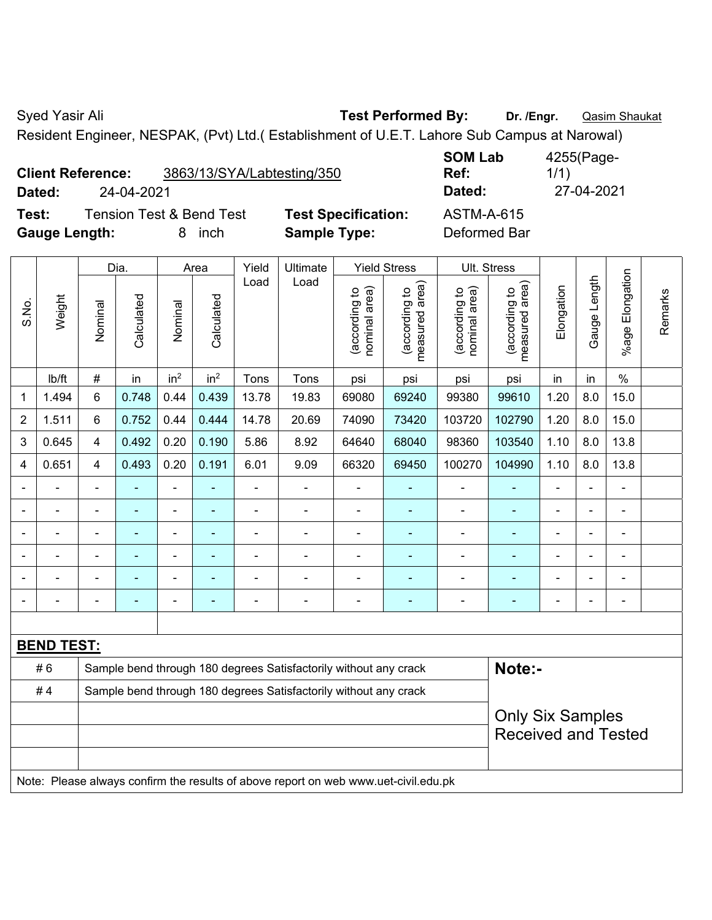Syed Yasir Ali **Test Performed By:** Dr. /Engr. **Qasim Shaukat** Dr. /Engr. **Qasim Shaukat** 

Resident Engineer, NESPAK, (Pvt) Ltd.( Establishment of U.E.T. Lahore Sub Campus at Narowal)

**SOM Lab Ref:**  4255(Page-1/1) **Dated:** 24-04-2021 **Dated:** 27-04-2021

**Test:** Tension Test & Bend Test **Test Specification:** ASTM-A-615 **Gauge Length:** 8 inch **Sample Type:** Deformed Bar

|                |                   |                                                                  | Dia.           |                 | Area                     | Yield                    | Ultimate                                                                            |                                | <b>Yield Stress</b>             | Ult. Stress                    |                                 |                |                          |                 |         |
|----------------|-------------------|------------------------------------------------------------------|----------------|-----------------|--------------------------|--------------------------|-------------------------------------------------------------------------------------|--------------------------------|---------------------------------|--------------------------------|---------------------------------|----------------|--------------------------|-----------------|---------|
| S.No.          | Weight            | Nominal                                                          | Calculated     | Nominal         | Calculated               | Load                     | Load                                                                                | nominal area)<br>(according to | (according to<br>measured area) | (according to<br>nominal area) | (according to<br>measured area) | Elongation     | Gauge Length             | %age Elongation | Remarks |
|                | Ib/ft             | $\#$                                                             | in             | in <sup>2</sup> | in <sup>2</sup>          | Tons                     | Tons                                                                                | psi                            | psi                             | psi                            | psi                             | in             | in                       | $\%$            |         |
| $\mathbf{1}$   | 1.494             | $6\phantom{1}$                                                   | 0.748          | 0.44            | 0.439                    | 13.78                    | 19.83                                                                               | 69080                          | 69240                           | 99380                          | 99610                           | 1.20           | 8.0                      | 15.0            |         |
| $\overline{2}$ | 1.511             | $6\phantom{1}$                                                   | 0.752          | 0.44            | 0.444                    | 14.78                    | 20.69                                                                               | 74090                          | 73420                           | 103720                         | 102790                          | 1.20           | 8.0                      | 15.0            |         |
| 3              | 0.645             | 4                                                                | 0.492          | 0.20            | 0.190                    | 5.86                     | 8.92                                                                                | 64640                          | 68040                           | 98360                          | 103540                          | 1.10           | 8.0                      | 13.8            |         |
| 4              | 0.651             | $\overline{4}$                                                   | 0.493          | 0.20            | 0.191                    | 6.01                     | 9.09                                                                                | 66320                          | 69450                           | 100270                         | 104990                          | 1.10           | 8.0                      | 13.8            |         |
|                |                   | $\blacksquare$                                                   | $\blacksquare$ | $\blacksquare$  | $\blacksquare$           | $\blacksquare$           | $\overline{\phantom{a}}$                                                            | $\blacksquare$                 | $\blacksquare$                  | $\overline{\phantom{a}}$       | ÷                               | $\blacksquare$ | ÷,                       | $\blacksquare$  |         |
|                |                   | $\blacksquare$                                                   | ä,             | ÷,              | $\blacksquare$           | $\blacksquare$           | ä,                                                                                  | ÷,                             | $\blacksquare$                  | L,                             | ÷                               |                | L,                       | L,              |         |
|                |                   |                                                                  |                | $\blacksquare$  | ä,                       | $\overline{\phantom{0}}$ | $\blacksquare$                                                                      | ä,                             | $\overline{a}$                  | $\blacksquare$                 | ä,                              |                |                          | ä,              |         |
|                |                   |                                                                  |                | $\blacksquare$  |                          | $\blacksquare$           |                                                                                     |                                |                                 | ä,                             | ä,                              |                |                          | ä,              |         |
|                |                   | $\blacksquare$                                                   |                | $\blacksquare$  | ۰                        |                          | ÷                                                                                   | $\blacksquare$                 | $\blacksquare$                  | $\blacksquare$                 | ÷,                              | $\blacksquare$ | $\blacksquare$           | ä,              |         |
|                |                   | ٠                                                                | ۰              | $\blacksquare$  | $\overline{\phantom{a}}$ | $\blacksquare$           | $\overline{a}$                                                                      | $\blacksquare$                 | $\overline{a}$                  | $\overline{a}$                 | ۰                               | $\blacksquare$ | $\overline{\phantom{0}}$ | $\blacksquare$  |         |
|                |                   |                                                                  |                |                 |                          |                          |                                                                                     |                                |                                 |                                |                                 |                |                          |                 |         |
|                | <b>BEND TEST:</b> |                                                                  |                |                 |                          |                          |                                                                                     |                                |                                 |                                |                                 |                |                          |                 |         |
|                | #6                |                                                                  |                |                 |                          |                          | Sample bend through 180 degrees Satisfactorily without any crack                    |                                |                                 |                                | Note:-                          |                |                          |                 |         |
|                | #4                | Sample bend through 180 degrees Satisfactorily without any crack |                |                 |                          |                          |                                                                                     |                                |                                 |                                |                                 |                |                          |                 |         |
|                |                   |                                                                  |                |                 |                          |                          |                                                                                     |                                |                                 |                                | <b>Only Six Samples</b>         |                |                          |                 |         |
|                |                   |                                                                  |                |                 |                          |                          |                                                                                     |                                |                                 |                                | <b>Received and Tested</b>      |                |                          |                 |         |
|                |                   |                                                                  |                |                 |                          |                          | Note: Please always confirm the results of above report on web www.uet-civil.edu.pk |                                |                                 |                                |                                 |                |                          |                 |         |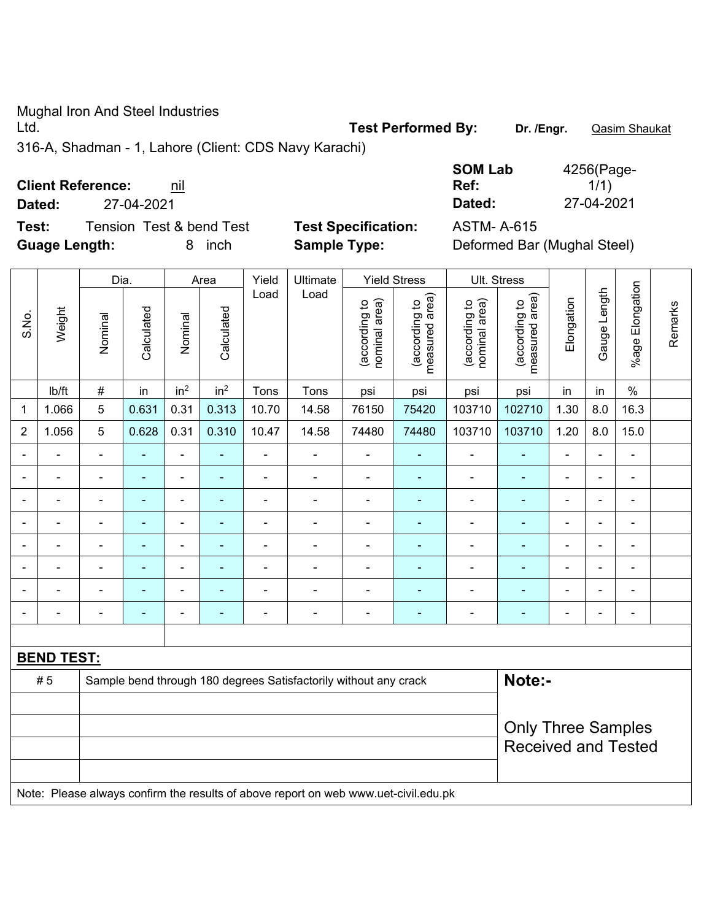Mughal Iron And Steel Industries

Ltd. **Test Performed By: Dr. /Engr.** Qasim Shaukat

316-A, Shadman - 1, Lahore (Client: CDS Navy Karachi)

**Client Reference:** nil

| <b>Client Reference:</b> |  |
|--------------------------|--|
|--------------------------|--|

 $\top$ 

 $\top$ 

 $\Gamma$ 

**Test:** Tension Test & bend Test **Test Specification:** ASTM- A-615 **Guage Length:** 8 inch **Sample Type:** Deformed Bar (Mughal Steel)

**Ref:** 

1/1)

Τ

 $\top$ 

 $\top$ 

┑

 $\top$ 

|                |                                                                                     | Dia.<br>Area   |                          |                          | Yield<br>Ultimate<br><b>Yield Stress</b> |                |                                                                  |                                | Ult. Stress                     |                                |                                 |                |                          |                              |         |
|----------------|-------------------------------------------------------------------------------------|----------------|--------------------------|--------------------------|------------------------------------------|----------------|------------------------------------------------------------------|--------------------------------|---------------------------------|--------------------------------|---------------------------------|----------------|--------------------------|------------------------------|---------|
| S.No.          | Weight                                                                              | Nominal        | Calculated               | Nominal                  | Calculated                               | Load           | Load                                                             | (according to<br>nominal area) | (according to<br>measured area) | (according to<br>nominal area) | measured area)<br>(according to | Elongation     | Gauge Length             | %age Elongation              | Remarks |
|                | lb/ft                                                                               | $\#$           | in                       | in <sup>2</sup>          | in <sup>2</sup>                          | Tons           | Tons                                                             | psi                            | psi                             | psi                            | psi                             | in             | in                       | $\%$                         |         |
| $\mathbf 1$    | 1.066                                                                               | 5              | 0.631                    | 0.31                     | 0.313                                    | 10.70          | 14.58                                                            | 76150                          | 75420                           | 103710                         | 102710                          | 1.30           | 8.0                      | 16.3                         |         |
| $\overline{2}$ | 1.056                                                                               | 5              | 0.628                    | 0.31                     | 0.310                                    | 10.47          | 14.58                                                            | 74480                          | 74480                           | 103710                         | 103710                          | 1.20           | 8.0                      | 15.0                         |         |
|                |                                                                                     | ä,             |                          | $\blacksquare$           |                                          | ä,             | ä,                                                               | $\blacksquare$                 | $\blacksquare$                  | $\blacksquare$                 | ä,                              | $\blacksquare$ |                          | ÷.                           |         |
|                | $\overline{\phantom{0}}$                                                            | $\blacksquare$ | $\blacksquare$           | $\blacksquare$           | $\blacksquare$                           | $\blacksquare$ | $\blacksquare$                                                   | $\blacksquare$                 | $\blacksquare$                  | $\blacksquare$                 | $\blacksquare$                  | $\blacksquare$ | ä,                       | $\blacksquare$               |         |
|                | $\overline{\phantom{0}}$                                                            | $\blacksquare$ | $\overline{\phantom{a}}$ | $\blacksquare$           | $\blacksquare$                           | $\blacksquare$ | ÷                                                                | $\blacksquare$                 | $\blacksquare$                  | $\blacksquare$                 | $\blacksquare$                  | $\blacksquare$ | $\overline{\phantom{0}}$ | $\overline{\phantom{a}}$     |         |
|                | $\blacksquare$                                                                      | ä,             | $\blacksquare$           | $\blacksquare$           | $\blacksquare$                           | ä,             | ä,                                                               | $\blacksquare$                 | $\blacksquare$                  | $\blacksquare$                 | $\blacksquare$                  | $\blacksquare$ | ÷                        | $\blacksquare$               |         |
|                |                                                                                     |                | Ē,                       | ÷                        | $\blacksquare$                           |                | ä,                                                               | $\blacksquare$                 |                                 | $\overline{\phantom{0}}$       | $\blacksquare$                  |                |                          | ÷.                           |         |
|                |                                                                                     |                |                          |                          |                                          |                | ä,                                                               | $\blacksquare$                 |                                 |                                | $\blacksquare$                  | $\blacksquare$ |                          | $\blacksquare$               |         |
|                |                                                                                     |                | ٠                        | $\blacksquare$           | $\blacksquare$                           | $\blacksquare$ |                                                                  | $\blacksquare$                 | $\blacksquare$                  |                                | $\blacksquare$                  | $\blacksquare$ |                          | $\blacksquare$               |         |
|                |                                                                                     | ä,             | $\blacksquare$           | $\overline{\phantom{0}}$ | $\blacksquare$                           | ä,             | ä,                                                               | $\blacksquare$                 | $\blacksquare$                  | $\blacksquare$                 | $\blacksquare$                  | $\blacksquare$ | ÷                        | $\qquad \qquad \blacksquare$ |         |
|                |                                                                                     |                |                          |                          |                                          |                |                                                                  |                                |                                 |                                |                                 |                |                          |                              |         |
|                | <b>BEND TEST:</b>                                                                   |                |                          |                          |                                          |                |                                                                  |                                |                                 |                                |                                 |                |                          |                              |         |
|                | #5                                                                                  |                |                          |                          |                                          |                | Sample bend through 180 degrees Satisfactorily without any crack |                                |                                 |                                | Note:-                          |                |                          |                              |         |
|                |                                                                                     |                |                          |                          |                                          |                |                                                                  |                                |                                 |                                |                                 |                |                          |                              |         |
|                | <b>Only Three Samples</b>                                                           |                |                          |                          |                                          |                |                                                                  |                                |                                 |                                |                                 |                |                          |                              |         |
|                | <b>Received and Tested</b>                                                          |                |                          |                          |                                          |                |                                                                  |                                |                                 |                                |                                 |                |                          |                              |         |
|                |                                                                                     |                |                          |                          |                                          |                |                                                                  |                                |                                 |                                |                                 |                |                          |                              |         |
|                | Note: Please always confirm the results of above report on web www.uet-civil.edu.pk |                |                          |                          |                                          |                |                                                                  |                                |                                 |                                |                                 |                |                          |                              |         |

**SOM Lab**  4256(Page-**Dated:** 27-04-2021 **Dated:** 27-04-2021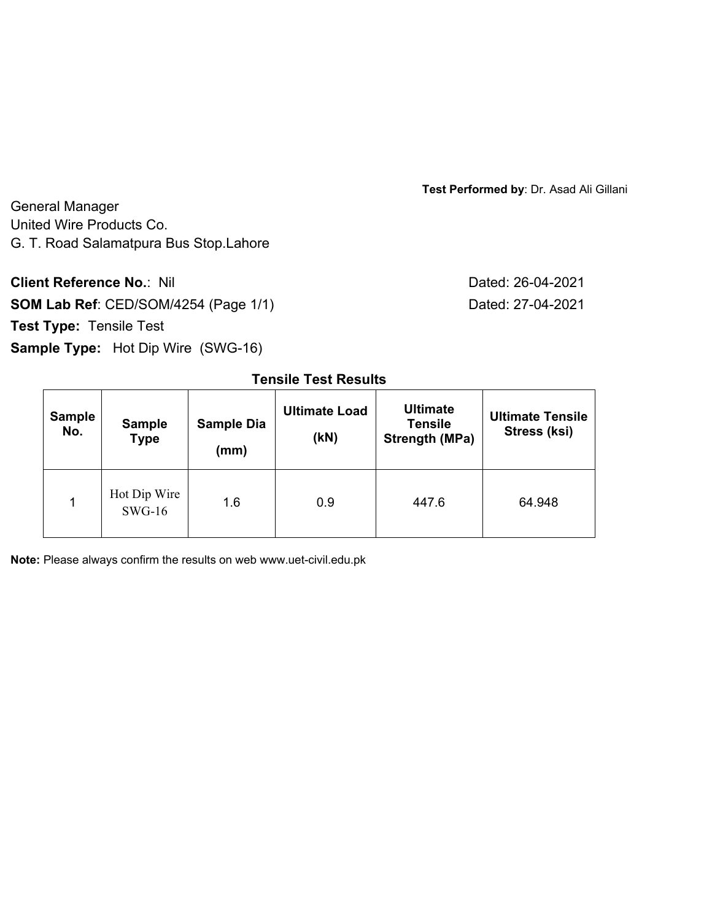**Test Performed by**: Dr. Asad Ali Gillani

General Manager United Wire Products Co. G. T. Road Salamatpura Bus Stop.Lahore

**Client Reference No.: Nil Client Reference No.: Nil Dated: 26-04-2021** 

**SOM Lab Ref**: CED/SOM/4254 (Page 1/1) Dated: 27-04-2021 **Test Type:** Tensile Test **Sample Type:** Hot Dip Wire (SWG-16)

| <b>Sample</b><br>No. | <b>Sample</b><br><b>Type</b> | <b>Sample Dia</b><br>(mm) | <b>Ultimate Load</b><br>(KN) | <b>Ultimate</b><br><b>Tensile</b><br>Strength (MPa) | <b>Ultimate Tensile</b><br>Stress (ksi) |
|----------------------|------------------------------|---------------------------|------------------------------|-----------------------------------------------------|-----------------------------------------|
| 1                    | Hot Dip Wire<br>$SWG-16$     | 1.6                       | 0.9                          | 447.6                                               | 64.948                                  |

# **Tensile Test Results**

**Note:** Please always confirm the results on web www.uet-civil.edu.pk